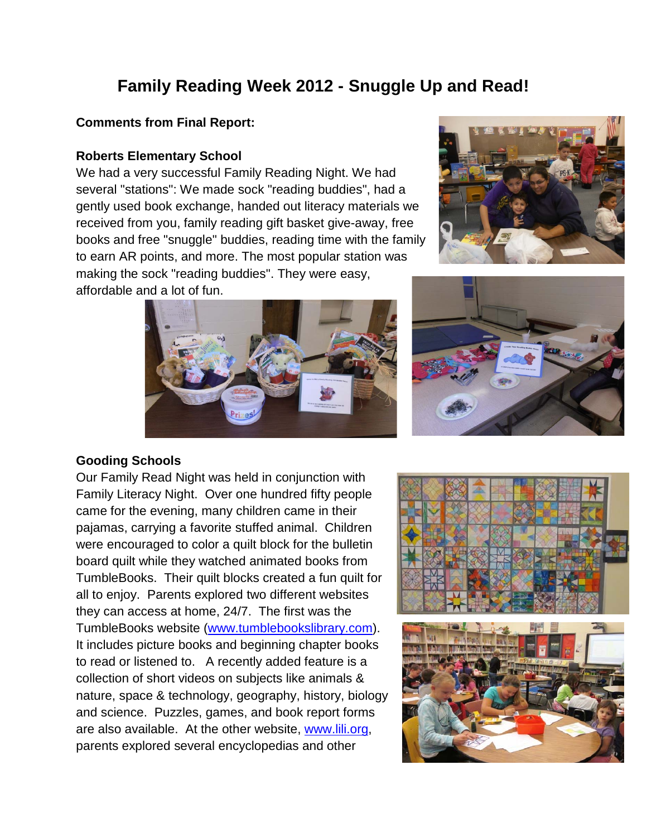# **Family Reading Week 2012 - Snuggle Up and Read!**

## **Comments from Final Report:**

#### **Roberts Elementary School**

We had a very successful Family Reading Night. We had several "stations": We made sock "reading buddies", had a gently used book exchange, handed out literacy materials we received from you, family reading gift basket give-away, free books and free "snuggle" buddies, reading time with the family to earn AR points, and more. The most popular station was making the sock "reading buddies". They were easy, affordable and a lot of fun.







## **Gooding Schools**

Our Family Read Night was held in conjunction with Family Literacy Night. Over one hundred fifty people came for the evening, many children came in their pajamas, carrying a favorite stuffed animal. Children were encouraged to color a quilt block for the bulletin board quilt while they watched animated books from TumbleBooks. Their quilt blocks created a fun quilt for all to enjoy. Parents explored two different websites they can access at home, 24/7. The first was the TumbleBooks website [\(www.tumblebookslibrary.com\)](http://www.tumblebookslibrary.com/). It includes picture books and beginning chapter books to read or listened to. A recently added feature is a collection of short videos on subjects like animals & nature, space & technology, geography, history, biology and science. Puzzles, games, and book report forms are also available. At the other website, [www.lili.org,](http://www.lili.org/) parents explored several encyclopedias and other



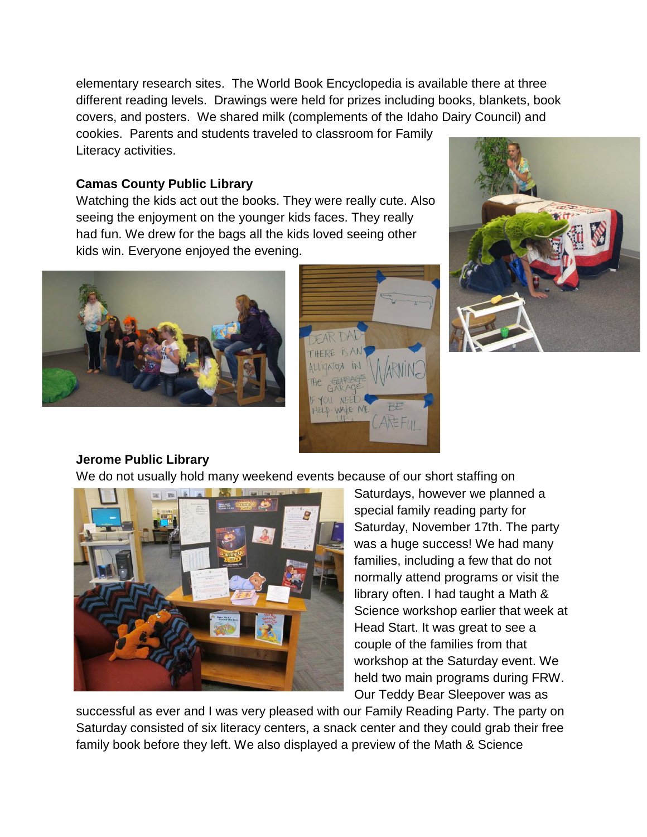elementary research sites. The World Book Encyclopedia is available there at three different reading levels. Drawings were held for prizes including books, blankets, book covers, and posters. We shared milk (complements of the Idaho Dairy Council) and cookies. Parents and students traveled to classroom for Family Literacy activities.

## **Camas County Public Library**

Watching the kids act out the books. They were really cute. Also seeing the enjoyment on the younger kids faces. They really had fun. We drew for the bags all the kids loved seeing other kids win. Everyone enjoyed the evening.







## **Jerome Public Library**

We do not usually hold many weekend events because of our short staffing on



Saturdays, however we planned a special family reading party for Saturday, November 17th. The party was a huge success! We had many families, including a few that do not normally attend programs or visit the library often. I had taught a Math & Science workshop earlier that week at Head Start. It was great to see a couple of the families from that workshop at the Saturday event. We held two main programs during FRW. Our Teddy Bear Sleepover was as

successful as ever and I was very pleased with our Family Reading Party. The party on Saturday consisted of six literacy centers, a snack center and they could grab their free family book before they left. We also displayed a preview of the Math & Science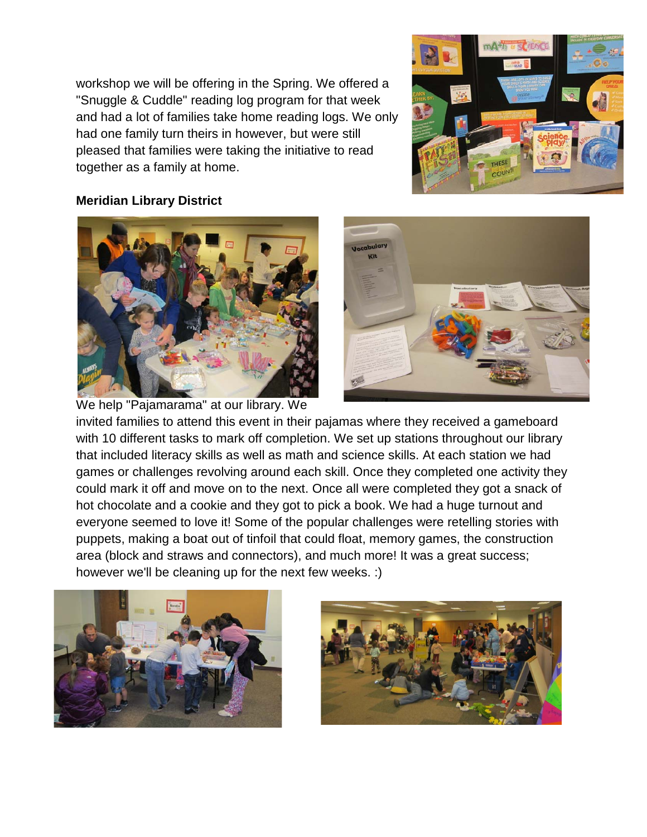workshop we will be offering in the Spring. We offered a "Snuggle & Cuddle" reading log program for that week and had a lot of families take home reading logs. We only had one family turn theirs in however, but were still pleased that families were taking the initiative to read together as a family at home.



## **Meridian Library District**





invited families to attend this event in their pajamas where they received a gameboard with 10 different tasks to mark off completion. We set up stations throughout our library that included literacy skills as well as math and science skills. At each station we had games or challenges revolving around each skill. Once they completed one activity they could mark it off and move on to the next. Once all were completed they got a snack of hot chocolate and a cookie and they got to pick a book. We had a huge turnout and everyone seemed to love it! Some of the popular challenges were retelling stories with puppets, making a boat out of tinfoil that could float, memory games, the construction area (block and straws and connectors), and much more! It was a great success; however we'll be cleaning up for the next few weeks. :)



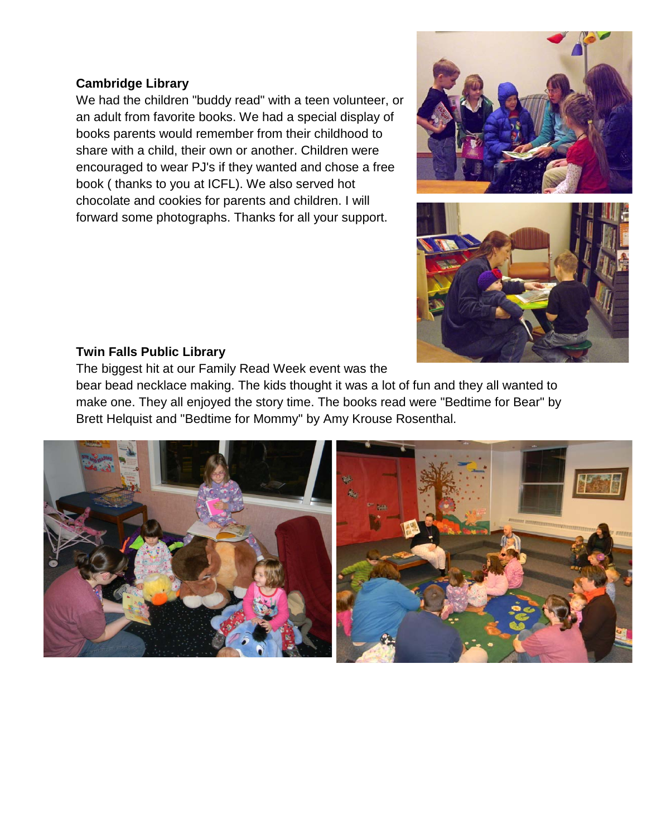## **Cambridge Library**

We had the children "buddy read" with a teen volunteer, or an adult from favorite books. We had a special display of books parents would remember from their childhood to share with a child, their own or another. Children were encouraged to wear PJ's if they wanted and chose a free book ( thanks to you at ICFL). We also served hot chocolate and cookies for parents and children. I will forward some photographs. Thanks for all your support.





## **Twin Falls Public Library**

The biggest hit at our Family Read Week event was the

bear bead necklace making. The kids thought it was a lot of fun and they all wanted to make one. They all enjoyed the story time. The books read were "Bedtime for Bear" by Brett Helquist and "Bedtime for Mommy" by Amy Krouse Rosenthal.

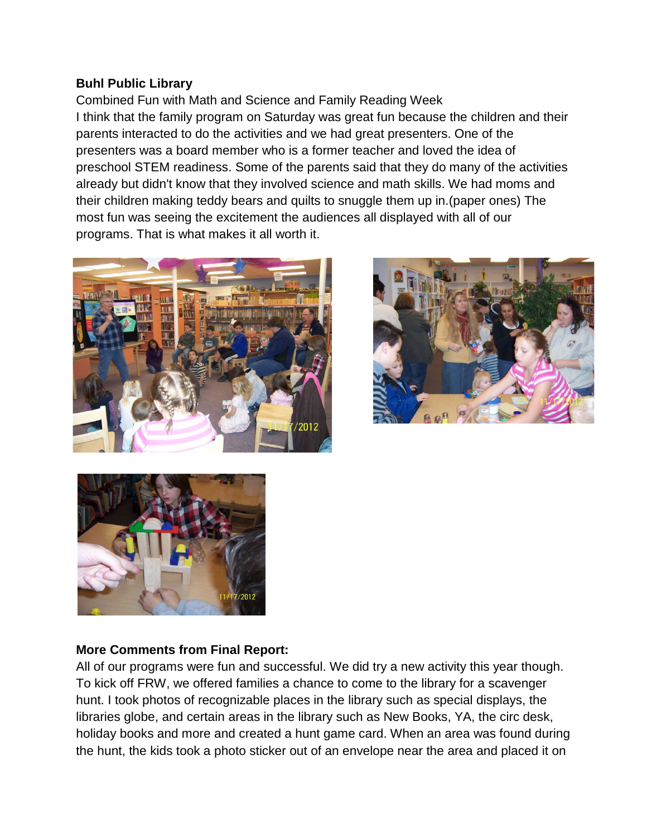## **Buhl Public Library**

Combined Fun with Math and Science and Family Reading Week I think that the family program on Saturday was great fun because the children and their parents interacted to do the activities and we had great presenters. One of the presenters was a board member who is a former teacher and loved the idea of preschool STEM readiness. Some of the parents said that they do many of the activities already but didn't know that they involved science and math skills. We had moms and their children making teddy bears and quilts to snuggle them up in.(paper ones) The most fun was seeing the excitement the audiences all displayed with all of our programs. That is what makes it all worth it.







## **More Comments from Final Report:**

All of our programs were fun and successful. We did try a new activity this year though. To kick off FRW, we offered families a chance to come to the library for a scavenger hunt. I took photos of recognizable places in the library such as special displays, the libraries globe, and certain areas in the library such as New Books, YA, the circ desk, holiday books and more and created a hunt game card. When an area was found during the hunt, the kids took a photo sticker out of an envelope near the area and placed it on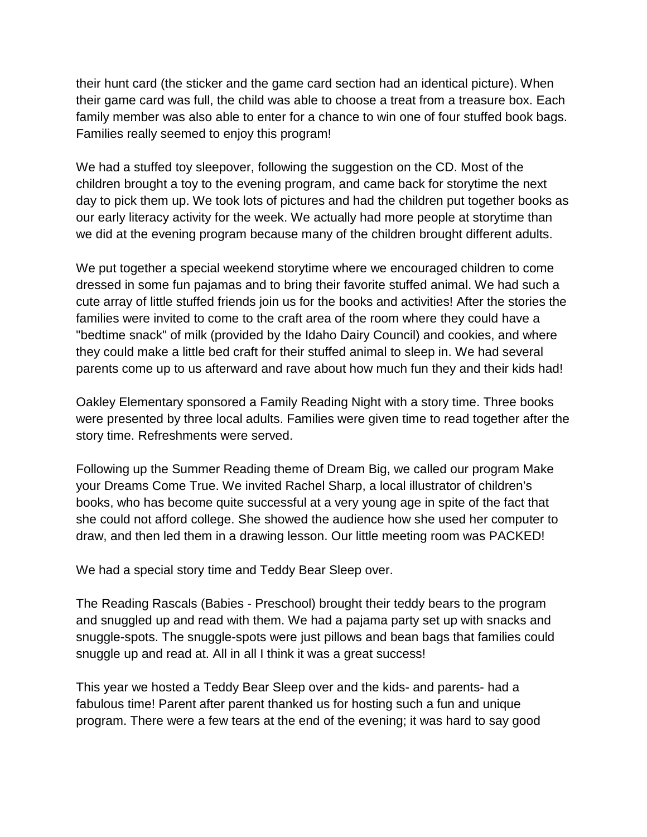their hunt card (the sticker and the game card section had an identical picture). When their game card was full, the child was able to choose a treat from a treasure box. Each family member was also able to enter for a chance to win one of four stuffed book bags. Families really seemed to enjoy this program!

We had a stuffed toy sleepover, following the suggestion on the CD. Most of the children brought a toy to the evening program, and came back for storytime the next day to pick them up. We took lots of pictures and had the children put together books as our early literacy activity for the week. We actually had more people at storytime than we did at the evening program because many of the children brought different adults.

We put together a special weekend storytime where we encouraged children to come dressed in some fun pajamas and to bring their favorite stuffed animal. We had such a cute array of little stuffed friends join us for the books and activities! After the stories the families were invited to come to the craft area of the room where they could have a "bedtime snack" of milk (provided by the Idaho Dairy Council) and cookies, and where they could make a little bed craft for their stuffed animal to sleep in. We had several parents come up to us afterward and rave about how much fun they and their kids had!

Oakley Elementary sponsored a Family Reading Night with a story time. Three books were presented by three local adults. Families were given time to read together after the story time. Refreshments were served.

Following up the Summer Reading theme of Dream Big, we called our program Make your Dreams Come True. We invited Rachel Sharp, a local illustrator of children's books, who has become quite successful at a very young age in spite of the fact that she could not afford college. She showed the audience how she used her computer to draw, and then led them in a drawing lesson. Our little meeting room was PACKED!

We had a special story time and Teddy Bear Sleep over.

The Reading Rascals (Babies - Preschool) brought their teddy bears to the program and snuggled up and read with them. We had a pajama party set up with snacks and snuggle-spots. The snuggle-spots were just pillows and bean bags that families could snuggle up and read at. All in all I think it was a great success!

This year we hosted a Teddy Bear Sleep over and the kids- and parents- had a fabulous time! Parent after parent thanked us for hosting such a fun and unique program. There were a few tears at the end of the evening; it was hard to say good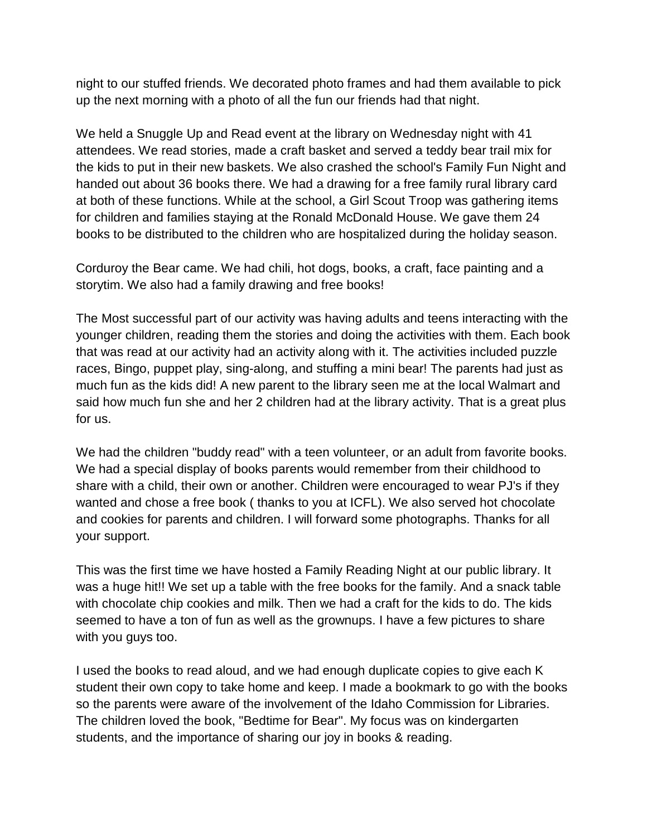night to our stuffed friends. We decorated photo frames and had them available to pick up the next morning with a photo of all the fun our friends had that night.

We held a Snuggle Up and Read event at the library on Wednesday night with 41 attendees. We read stories, made a craft basket and served a teddy bear trail mix for the kids to put in their new baskets. We also crashed the school's Family Fun Night and handed out about 36 books there. We had a drawing for a free family rural library card at both of these functions. While at the school, a Girl Scout Troop was gathering items for children and families staying at the Ronald McDonald House. We gave them 24 books to be distributed to the children who are hospitalized during the holiday season.

Corduroy the Bear came. We had chili, hot dogs, books, a craft, face painting and a storytim. We also had a family drawing and free books!

The Most successful part of our activity was having adults and teens interacting with the younger children, reading them the stories and doing the activities with them. Each book that was read at our activity had an activity along with it. The activities included puzzle races, Bingo, puppet play, sing-along, and stuffing a mini bear! The parents had just as much fun as the kids did! A new parent to the library seen me at the local Walmart and said how much fun she and her 2 children had at the library activity. That is a great plus for us.

We had the children "buddy read" with a teen volunteer, or an adult from favorite books. We had a special display of books parents would remember from their childhood to share with a child, their own or another. Children were encouraged to wear PJ's if they wanted and chose a free book ( thanks to you at ICFL). We also served hot chocolate and cookies for parents and children. I will forward some photographs. Thanks for all your support.

This was the first time we have hosted a Family Reading Night at our public library. It was a huge hit!! We set up a table with the free books for the family. And a snack table with chocolate chip cookies and milk. Then we had a craft for the kids to do. The kids seemed to have a ton of fun as well as the grownups. I have a few pictures to share with you guys too.

I used the books to read aloud, and we had enough duplicate copies to give each K student their own copy to take home and keep. I made a bookmark to go with the books so the parents were aware of the involvement of the Idaho Commission for Libraries. The children loved the book, "Bedtime for Bear". My focus was on kindergarten students, and the importance of sharing our joy in books & reading.